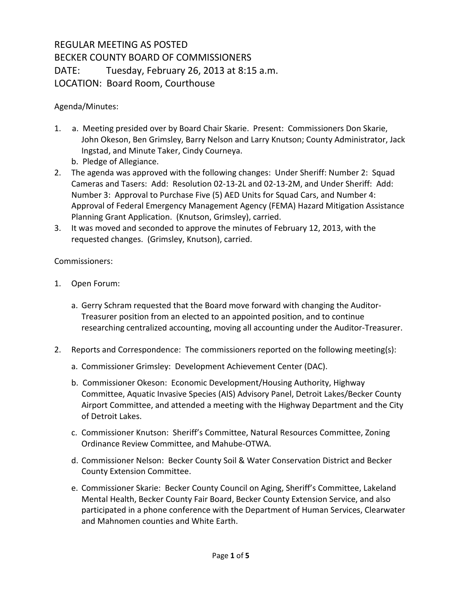## REGULAR MEETING AS POSTED BECKER COUNTY BOARD OF COMMISSIONERS DATE: Tuesday, February 26, 2013 at 8:15 a.m. LOCATION: Board Room, Courthouse

Agenda/Minutes:

- 1. a. Meeting presided over by Board Chair Skarie. Present: Commissioners Don Skarie, John Okeson, Ben Grimsley, Barry Nelson and Larry Knutson; County Administrator, Jack Ingstad, and Minute Taker, Cindy Courneya.
	- b. Pledge of Allegiance.
- 2. The agenda was approved with the following changes: Under Sheriff: Number 2: Squad Cameras and Tasers: Add: Resolution 02-13-2L and 02-13-2M, and Under Sheriff: Add: Number 3: Approval to Purchase Five (5) AED Units for Squad Cars, and Number 4: Approval of Federal Emergency Management Agency (FEMA) Hazard Mitigation Assistance Planning Grant Application. (Knutson, Grimsley), carried.
- 3. It was moved and seconded to approve the minutes of February 12, 2013, with the requested changes. (Grimsley, Knutson), carried.

Commissioners:

- 1. Open Forum:
	- a. Gerry Schram requested that the Board move forward with changing the Auditor-Treasurer position from an elected to an appointed position, and to continue researching centralized accounting, moving all accounting under the Auditor-Treasurer.
- 2. Reports and Correspondence: The commissioners reported on the following meeting(s):
	- a. Commissioner Grimsley: Development Achievement Center (DAC).
	- b. Commissioner Okeson: Economic Development/Housing Authority, Highway Committee, Aquatic Invasive Species (AIS) Advisory Panel, Detroit Lakes/Becker County Airport Committee, and attended a meeting with the Highway Department and the City of Detroit Lakes.
	- c. Commissioner Knutson: Sheriff's Committee, Natural Resources Committee, Zoning Ordinance Review Committee, and Mahube-OTWA.
	- d. Commissioner Nelson: Becker County Soil & Water Conservation District and Becker County Extension Committee.
	- e. Commissioner Skarie: Becker County Council on Aging, Sheriff's Committee, Lakeland Mental Health, Becker County Fair Board, Becker County Extension Service, and also participated in a phone conference with the Department of Human Services, Clearwater and Mahnomen counties and White Earth.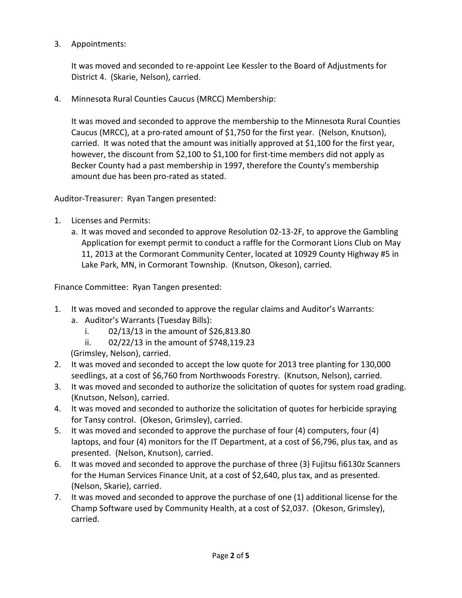3. Appointments:

It was moved and seconded to re-appoint Lee Kessler to the Board of Adjustments for District 4. (Skarie, Nelson), carried.

4. Minnesota Rural Counties Caucus (MRCC) Membership:

It was moved and seconded to approve the membership to the Minnesota Rural Counties Caucus (MRCC), at a pro-rated amount of \$1,750 for the first year. (Nelson, Knutson), carried. It was noted that the amount was initially approved at \$1,100 for the first year, however, the discount from \$2,100 to \$1,100 for first-time members did not apply as Becker County had a past membership in 1997, therefore the County's membership amount due has been pro-rated as stated.

Auditor-Treasurer: Ryan Tangen presented:

- 1. Licenses and Permits:
	- a. It was moved and seconded to approve Resolution 02-13-2F, to approve the Gambling Application for exempt permit to conduct a raffle for the Cormorant Lions Club on May 11, 2013 at the Cormorant Community Center, located at 10929 County Highway #5 in Lake Park, MN, in Cormorant Township. (Knutson, Okeson), carried.

Finance Committee: Ryan Tangen presented:

- 1. It was moved and seconded to approve the regular claims and Auditor's Warrants:
	- a. Auditor's Warrants (Tuesday Bills):
		- i. 02/13/13 in the amount of \$26,813.80
		- ii. 02/22/13 in the amount of \$748,119.23

(Grimsley, Nelson), carried.

- 2. It was moved and seconded to accept the low quote for 2013 tree planting for 130,000 seedlings, at a cost of \$6,760 from Northwoods Forestry. (Knutson, Nelson), carried.
- 3. It was moved and seconded to authorize the solicitation of quotes for system road grading. (Knutson, Nelson), carried.
- 4. It was moved and seconded to authorize the solicitation of quotes for herbicide spraying for Tansy control. (Okeson, Grimsley), carried.
- 5. It was moved and seconded to approve the purchase of four (4) computers, four (4) laptops, and four (4) monitors for the IT Department, at a cost of \$6,796, plus tax, and as presented. (Nelson, Knutson), carried.
- 6. It was moved and seconded to approve the purchase of three (3) Fujitsu fi6130z Scanners for the Human Services Finance Unit, at a cost of \$2,640, plus tax, and as presented. (Nelson, Skarie), carried.
- 7. It was moved and seconded to approve the purchase of one (1) additional license for the Champ Software used by Community Health, at a cost of \$2,037. (Okeson, Grimsley), carried.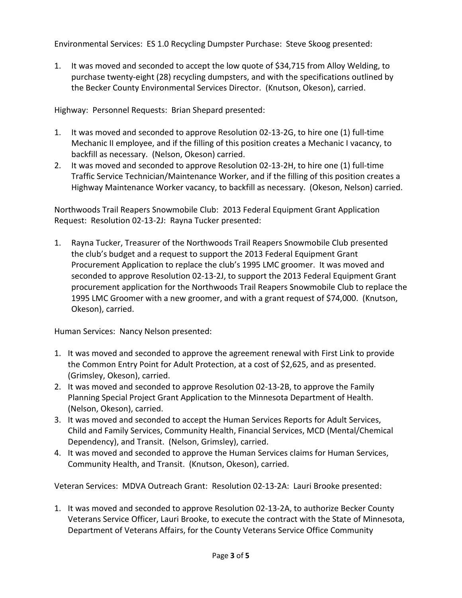Environmental Services: ES 1.0 Recycling Dumpster Purchase: Steve Skoog presented:

1. It was moved and seconded to accept the low quote of \$34,715 from Alloy Welding, to purchase twenty-eight (28) recycling dumpsters, and with the specifications outlined by the Becker County Environmental Services Director. (Knutson, Okeson), carried.

Highway: Personnel Requests: Brian Shepard presented:

- 1. It was moved and seconded to approve Resolution 02-13-2G, to hire one (1) full-time Mechanic II employee, and if the filling of this position creates a Mechanic I vacancy, to backfill as necessary. (Nelson, Okeson) carried.
- 2. It was moved and seconded to approve Resolution 02-13-2H, to hire one (1) full-time Traffic Service Technician/Maintenance Worker, and if the filling of this position creates a Highway Maintenance Worker vacancy, to backfill as necessary. (Okeson, Nelson) carried.

Northwoods Trail Reapers Snowmobile Club: 2013 Federal Equipment Grant Application Request: Resolution 02-13-2J: Rayna Tucker presented:

1. Rayna Tucker, Treasurer of the Northwoods Trail Reapers Snowmobile Club presented the club's budget and a request to support the 2013 Federal Equipment Grant Procurement Application to replace the club's 1995 LMC groomer. It was moved and seconded to approve Resolution 02-13-2J, to support the 2013 Federal Equipment Grant procurement application for the Northwoods Trail Reapers Snowmobile Club to replace the 1995 LMC Groomer with a new groomer, and with a grant request of \$74,000. (Knutson, Okeson), carried.

Human Services: Nancy Nelson presented:

- 1. It was moved and seconded to approve the agreement renewal with First Link to provide the Common Entry Point for Adult Protection, at a cost of \$2,625, and as presented. (Grimsley, Okeson), carried.
- 2. It was moved and seconded to approve Resolution 02-13-2B, to approve the Family Planning Special Project Grant Application to the Minnesota Department of Health. (Nelson, Okeson), carried.
- 3. It was moved and seconded to accept the Human Services Reports for Adult Services, Child and Family Services, Community Health, Financial Services, MCD (Mental/Chemical Dependency), and Transit. (Nelson, Grimsley), carried.
- 4. It was moved and seconded to approve the Human Services claims for Human Services, Community Health, and Transit. (Knutson, Okeson), carried.

Veteran Services: MDVA Outreach Grant: Resolution 02-13-2A: Lauri Brooke presented:

1. It was moved and seconded to approve Resolution 02-13-2A, to authorize Becker County Veterans Service Officer, Lauri Brooke, to execute the contract with the State of Minnesota, Department of Veterans Affairs, for the County Veterans Service Office Community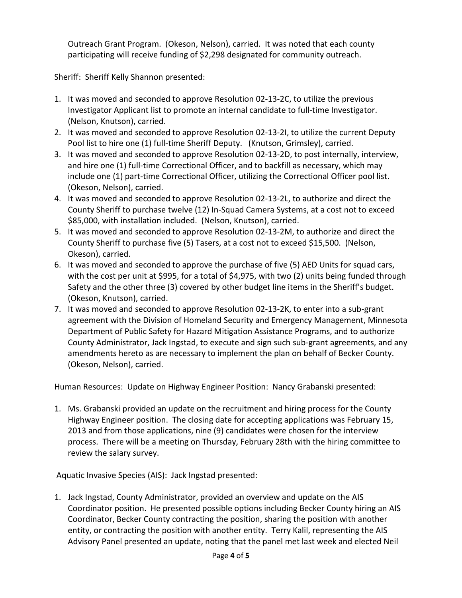Outreach Grant Program. (Okeson, Nelson), carried. It was noted that each county participating will receive funding of \$2,298 designated for community outreach.

Sheriff: Sheriff Kelly Shannon presented:

- 1. It was moved and seconded to approve Resolution 02-13-2C, to utilize the previous Investigator Applicant list to promote an internal candidate to full-time Investigator. (Nelson, Knutson), carried.
- 2. It was moved and seconded to approve Resolution 02-13-2I, to utilize the current Deputy Pool list to hire one (1) full-time Sheriff Deputy. (Knutson, Grimsley), carried.
- 3. It was moved and seconded to approve Resolution 02-13-2D, to post internally, interview, and hire one (1) full-time Correctional Officer, and to backfill as necessary, which may include one (1) part-time Correctional Officer, utilizing the Correctional Officer pool list. (Okeson, Nelson), carried.
- 4. It was moved and seconded to approve Resolution 02-13-2L, to authorize and direct the County Sheriff to purchase twelve (12) In-Squad Camera Systems, at a cost not to exceed \$85,000, with installation included. (Nelson, Knutson), carried.
- 5. It was moved and seconded to approve Resolution 02-13-2M, to authorize and direct the County Sheriff to purchase five (5) Tasers, at a cost not to exceed \$15,500. (Nelson, Okeson), carried.
- 6. It was moved and seconded to approve the purchase of five (5) AED Units for squad cars, with the cost per unit at \$995, for a total of \$4,975, with two (2) units being funded through Safety and the other three (3) covered by other budget line items in the Sheriff's budget. (Okeson, Knutson), carried.
- 7. It was moved and seconded to approve Resolution 02-13-2K, to enter into a sub-grant agreement with the Division of Homeland Security and Emergency Management, Minnesota Department of Public Safety for Hazard Mitigation Assistance Programs, and to authorize County Administrator, Jack Ingstad, to execute and sign such sub-grant agreements, and any amendments hereto as are necessary to implement the plan on behalf of Becker County. (Okeson, Nelson), carried.

Human Resources: Update on Highway Engineer Position: Nancy Grabanski presented:

1. Ms. Grabanski provided an update on the recruitment and hiring process for the County Highway Engineer position. The closing date for accepting applications was February 15, 2013 and from those applications, nine (9) candidates were chosen for the interview process. There will be a meeting on Thursday, February 28th with the hiring committee to review the salary survey.

Aquatic Invasive Species (AIS): Jack Ingstad presented:

1. Jack Ingstad, County Administrator, provided an overview and update on the AIS Coordinator position. He presented possible options including Becker County hiring an AIS Coordinator, Becker County contracting the position, sharing the position with another entity, or contracting the position with another entity. Terry Kalil, representing the AIS Advisory Panel presented an update, noting that the panel met last week and elected Neil